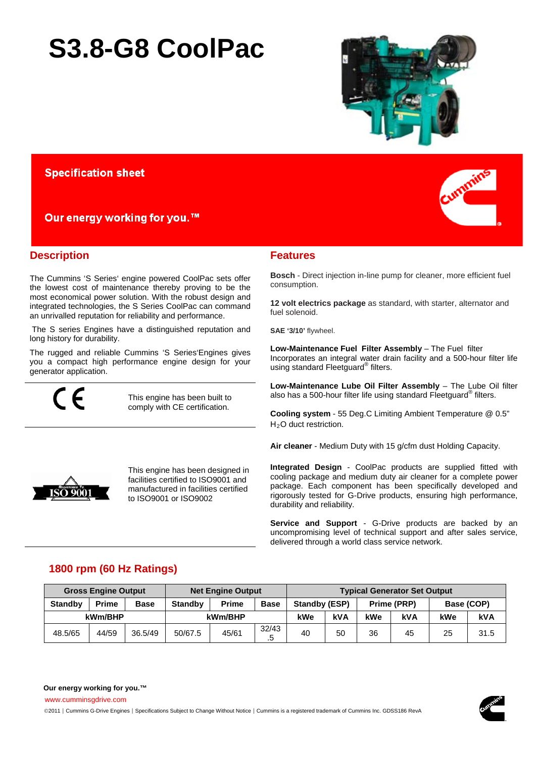# **S3.8-G8 CoolPac**



## **Specification sheet**

Our energy working for you.™

## **Description**

The Cummins 'S Series' engine powered CoolPac sets offer the lowest cost of maintenance thereby proving to be the most economical power solution. With the robust design and integrated technologies, the S Series CoolPac can command an unrivalled reputation for reliability and performance.

The S series Engines have a distinguished reputation and long history for durability.

The rugged and reliable Cummins 'S Series'Engines gives you a compact high performance engine design for your generator application.

This engine has been built to comply with CE certification.



This engine has been designed in facilities certified to ISO9001 and manufactured in facilities certified to ISO9001 or ISO9002



## **Features**

**Bosch** - Direct injection in-line pump for cleaner, more efficient fuel consumption.

**12 volt electrics package** as standard, with starter, alternator and fuel solenoid.

SAE '3/10' flywheel.

**Low-Maintenance Fuel Filter Assembly - The Fuel filter** Incorporates an integral water drain facility and a 500-hour filter life using standard Fleetguard® filters.

Low-Maintenance Lube Oil Filter Assembly - The Lube Oil filter also has a 500-hour filter life using standard Fleetguard® filters.

**Cooling system** - 55 Deg.C Limiting Ambient Temperature @ 0.5" H<sub>2</sub>O duct restriction.

**Air cleaner** - Medium Duty with 15 g/cfm dust Holding Capacity.

**Integrated Design** - CoolPac products are supplied fitted with cooling package and medium duty air cleaner for a complete power package. Each component has been specifically developed and rigorously tested for G-Drive products, ensuring high performance, durability and reliability.

**Service and Support** - G-Drive products are backed by an uncompromising level of technical support and after sales service, delivered through a world class service network.

## **1800 rpm (60 Hz Ratings)**

|                | <b>Gross Engine Output</b> |             |                | <b>Net Engine Output</b> | <b>Typical Generator Set Output</b> |               |            |                   |    |            |      |
|----------------|----------------------------|-------------|----------------|--------------------------|-------------------------------------|---------------|------------|-------------------|----|------------|------|
| <b>Standby</b> | <b>Prime</b>               | <b>Base</b> | <b>Standby</b> | <b>Prime</b>             | <b>Base</b>                         | Standby (ESP) |            | Prime (PRP)       |    | Base (COP) |      |
|                | kWm/BHP                    |             |                | kWm/BHP                  |                                     | kWe           | <b>kVA</b> | kWe<br>kVA<br>kWe |    | <b>kVA</b> |      |
| 48.5/65        | 44/59                      | 36.5/49     | 50/67.5        | 45/61                    | 32/43<br>.b                         | 40            | 50         | 36                | 45 | 25         | 31.5 |

[www.cumminsgdrive.com](http://www.cumminsgdrive.com/)